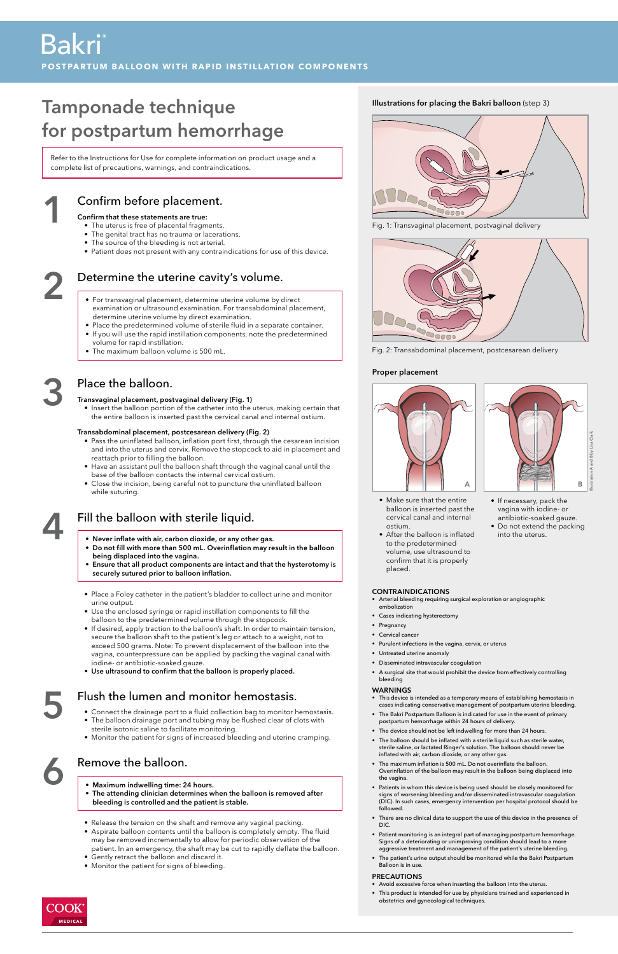## Confirm before placement.

#### Confirm that these statements are true:

- The uterus is free of placental fragments.
- The genital tract has no trauma or lacerations.
- The source of the bleeding is not arterial.
- Patient does not present with any contraindications for use of this device.

## Determine the uterine cavity's volume.<br>
• For transvaginal placement, determine uterine volume by direct

1

## Place the balloon.

#### Transvaginal placement, postvaginal delivery (Fig. 1)

• Insert the balloon portion of the catheter into the uterus, making certain that the entire balloon is inserted past the cervical canal and internal ostium.

### Transabdominal placement, postcesarean delivery (Fig. 2)

- Pass the uninflated balloon, inflation port first, through the cesarean incision and into the uterus and cervix. Remove the stopcock to aid in placement and reattach prior to filling the balloon.
- Have an assistant pull the balloon shaft through the vaginal canal until the base of the balloon contacts the internal cervical ostium.
- Close the incision, being careful not to puncture the uninflated balloon while suturing.

# 3

## Flush the lumen and monitor hemostasis.

- 5
- Connect the drainage port to a fluid collection bag to monitor hemostasis.
- The balloon drainage port and tubing may be flushed clear of clots with sterile isotonic saline to facilitate monitoring.
- Monitor the patient for signs of increased bleeding and uterine cramping.

## Remove the balloon.





Fig. 2: Transabdominal placement, postcesarean delivery



Fig. 1: Transvaginal placement, postvaginal delivery

### Illustrations for placing the Bakri balloon (step 3)

### Proper placement



- Make sure that the entire balloon is inserted past the cervical canal and internal ostium.
- After the balloon is inflated to the predetermined volume, use ultrasound to confirm that it is properly placed.

• If necessary, pack the vagina with iodine- or antibiotic-soaked gauze. • Do not extend the packing

into the uterus.

- examination or ultrasound examination. For transabdominal placement, determine uterine volume by direct examination.
- Place the predetermined volume of sterile fluid in a separate container.
- If you will use the rapid instillation components, note the predetermined volume for rapid instillation.
- The maximum balloon volume is 500 mL.

## Tamponade technique for postpartum hemorrhage

Refer to the Instructions for Use for complete information on product usage and a complete list of precautions, warnings, and contraindications.

4

## Fill the balloon with sterile liquid.

- Never inflate with air, carbon dioxide, or any other gas.
- Do not fill with more than 500 mL. Overinflation may result in the balloon being displaced into the vagina.
- Ensure that all product components are intact and that the hysterotomy is securely sutured prior to balloon inflation.
- Place a Foley catheter in the patient's bladder to collect urine and monitor urine output.
- Use the enclosed syringe or rapid instillation components to fill the balloon to the predetermined volume through the stopcock.
- If desired, apply traction to the balloon's shaft. In order to maintain tension, secure the balloon shaft to the patient's leg or attach to a weight, not to exceed 500 grams. Note: To prevent displacement of the balloon into the vagina, counterpressure can be applied by packing the vaginal canal with iodine- or antibiotic-soaked gauze.
- Use ultrasound to confirm that the balloon is properly placed.

- Maximum indwelling time: 24 hours.
- The attending clinician determines when the balloon is removed after bleeding is controlled and the patient is stable.
- Release the tension on the shaft and remove any vaginal packing.
- Aspirate balloon contents until the balloon is completely empty. The fluid may be removed incrementally to allow for periodic observation of the patient. In an emergency, the shaft may be cut to rapidly deflate the balloon.
- Gently retract the balloon and discard it.
- Monitor the patient for signs of bleeding.



#### CONTRAINDICATIONS

- Arterial bleeding requiring surgical exploration or angiographic embolization
- Cases indicating hysterectomy
- Pregnancy
- Cervical cancer
- Purulent infections in the vagina, cervix, or uterus
- Untreated uterine anomaly
- Disseminated intravascular coagulation
- A surgical site that would prohibit the device from effectively controlling bleeding

#### WARNINGS

• This device is intended as a temporary means of establishing hemostasis in

- cases indicating conservative management of postpartum uterine bleeding.
- The Bakri Postpartum Balloon is indicated for use in the event of primary postpartum hemorrhage within 24 hours of delivery.
- The device should not be left indwelling for more than 24 hours.
- The balloon should be inflated with a sterile liquid such as sterile water, sterile saline, or lactated Ringer's solution. The balloon should never be inflated with air, carbon dioxide, or any other gas.
- The maximum inflation is 500 mL. Do not overinflate the balloon. Overinflation of the balloon may result in the balloon being displaced into the vagina.
- Patients in whom this device is being used should be closely monitored for signs of worsening bleeding and/or disseminated intravascular coagulation (DIC). In such cases, emergency intervention per hospital protocol should be followed.
- There are no clinical data to support the use of this device in the presence of DIC.
- Patient monitoring is an integral part of managing postpartum hemorrhage. Signs of a deteriorating or unimproving condition should lead to a more aggressive treatment and management of the patient's uterine bleeding.
- The patient's urine output should be monitored while the Bakri Postpartum Balloon is in use.

#### PRECAUTIONS

- Avoid excessive force when inserting the balloon into the uterus.
- This product is intended for use by physicians trained and experienced in obstetrics and gynecological techniques.

## Bakri ®

**POSTPARTUM BALLOON WITH RAPID INSTILLATION COMPONENTS**